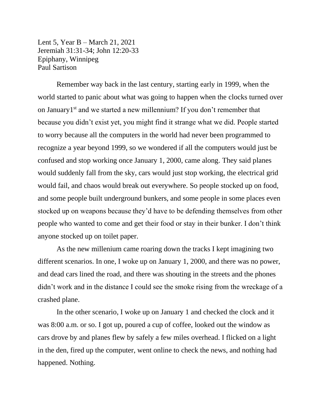Lent 5, Year B – March 21, 2021 Jeremiah 31:31-34; John 12:20-33 Epiphany, Winnipeg Paul Sartison

Remember way back in the last century, starting early in 1999, when the world started to panic about what was going to happen when the clocks turned over on January1<sup>st</sup> and we started a new millennium? If you don't remember that because you didn't exist yet, you might find it strange what we did. People started to worry because all the computers in the world had never been programmed to recognize a year beyond 1999, so we wondered if all the computers would just be confused and stop working once January 1, 2000, came along. They said planes would suddenly fall from the sky, cars would just stop working, the electrical grid would fail, and chaos would break out everywhere. So people stocked up on food, and some people built underground bunkers, and some people in some places even stocked up on weapons because they'd have to be defending themselves from other people who wanted to come and get their food or stay in their bunker. I don't think anyone stocked up on toilet paper.

As the new millenium came roaring down the tracks I kept imagining two different scenarios. In one, I woke up on January 1, 2000, and there was no power, and dead cars lined the road, and there was shouting in the streets and the phones didn't work and in the distance I could see the smoke rising from the wreckage of a crashed plane.

In the other scenario, I woke up on January 1 and checked the clock and it was 8:00 a.m. or so. I got up, poured a cup of coffee, looked out the window as cars drove by and planes flew by safely a few miles overhead. I flicked on a light in the den, fired up the computer, went online to check the news, and nothing had happened. Nothing.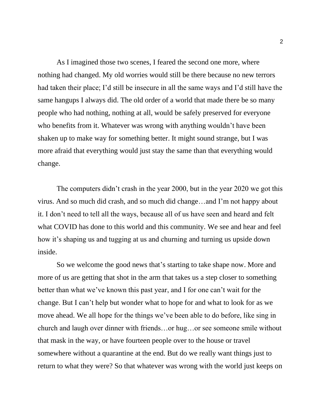As I imagined those two scenes, I feared the second one more, where nothing had changed. My old worries would still be there because no new terrors had taken their place; I'd still be insecure in all the same ways and I'd still have the same hangups I always did. The old order of a world that made there be so many people who had nothing, nothing at all, would be safely preserved for everyone who benefits from it. Whatever was wrong with anything wouldn't have been shaken up to make way for something better. It might sound strange, but I was more afraid that everything would just stay the same than that everything would change.

The computers didn't crash in the year 2000, but in the year 2020 we got this virus. And so much did crash, and so much did change…and I'm not happy about it. I don't need to tell all the ways, because all of us have seen and heard and felt what COVID has done to this world and this community. We see and hear and feel how it's shaping us and tugging at us and churning and turning us upside down inside.

So we welcome the good news that's starting to take shape now. More and more of us are getting that shot in the arm that takes us a step closer to something better than what we've known this past year, and I for one can't wait for the change. But I can't help but wonder what to hope for and what to look for as we move ahead. We all hope for the things we've been able to do before, like sing in church and laugh over dinner with friends…or hug…or see someone smile without that mask in the way, or have fourteen people over to the house or travel somewhere without a quarantine at the end. But do we really want things just to return to what they were? So that whatever was wrong with the world just keeps on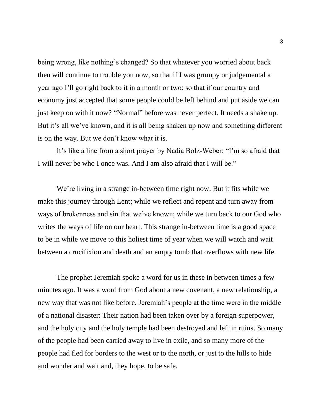being wrong, like nothing's changed? So that whatever you worried about back then will continue to trouble you now, so that if I was grumpy or judgemental a year ago I'll go right back to it in a month or two; so that if our country and economy just accepted that some people could be left behind and put aside we can just keep on with it now? "Normal" before was never perfect. It needs a shake up. But it's all we've known, and it is all being shaken up now and something different is on the way. But we don't know what it is.

It's like a line from a short prayer by Nadia Bolz-Weber: "I'm so afraid that I will never be who I once was. And I am also afraid that I will be."

We're living in a strange in-between time right now. But it fits while we make this journey through Lent; while we reflect and repent and turn away from ways of brokenness and sin that we've known; while we turn back to our God who writes the ways of life on our heart. This strange in-between time is a good space to be in while we move to this holiest time of year when we will watch and wait between a crucifixion and death and an empty tomb that overflows with new life.

The prophet Jeremiah spoke a word for us in these in between times a few minutes ago. It was a word from God about a new covenant, a new relationship, a new way that was not like before. Jeremiah's people at the time were in the middle of a national disaster: Their nation had been taken over by a foreign superpower, and the holy city and the holy temple had been destroyed and left in ruins. So many of the people had been carried away to live in exile, and so many more of the people had fled for borders to the west or to the north, or just to the hills to hide and wonder and wait and, they hope, to be safe.